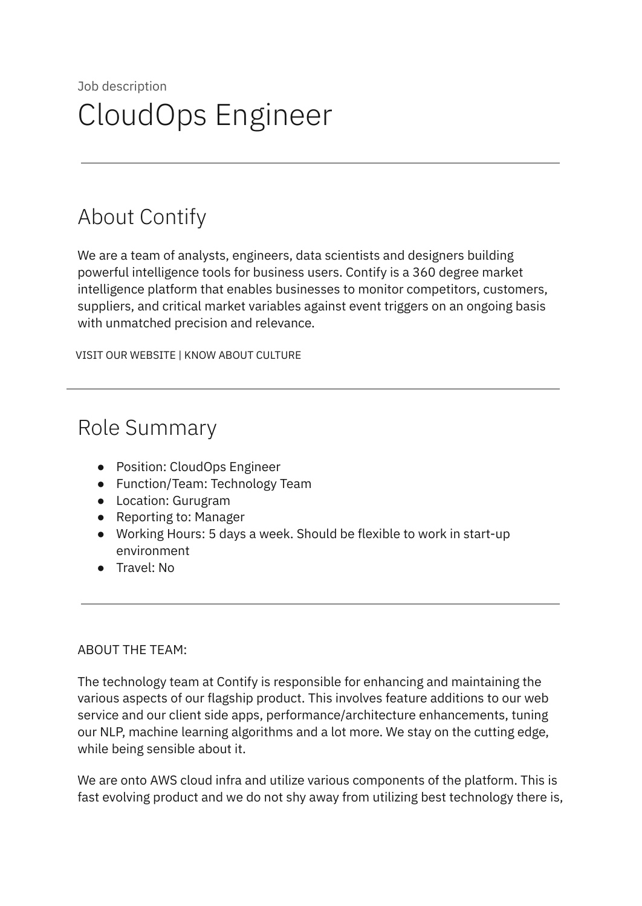# Job description CloudOps Engineer

## About Contify

We are a team of analysts, engineers, data scientists and designers building powerful intelligence tools for business users. Contify is a 360 degree market intelligence platform that enables businesses to monitor competitors, customers, suppliers, and critical market variables against event triggers on an ongoing basis with unmatched precision and relevance.

VISIT OUR [WEBSITE](http://contify.com/) | KNOW ABOUT [CULTURE](https://app.box.com/s/729fu9kwnix6x7g1ix0u)

### Role Summary

- Position: CloudOps Engineer
- Function/Team: Technology Team
- Location: Gurugram
- Reporting to: Manager
- Working Hours: 5 days a week. Should be flexible to work in start-up environment
- Travel: No

#### ABOUT THE TEAM:

The technology team at Contify is responsible for enhancing and maintaining the various aspects of our flagship product. This involves feature additions to our web service and our client side apps, performance/architecture enhancements, tuning our NLP, machine learning algorithms and a lot more. We stay on the cutting edge, while being sensible about it.

We are onto AWS cloud infra and utilize various components of the platform. This is fast evolving product and we do not shy away from utilizing best technology there is,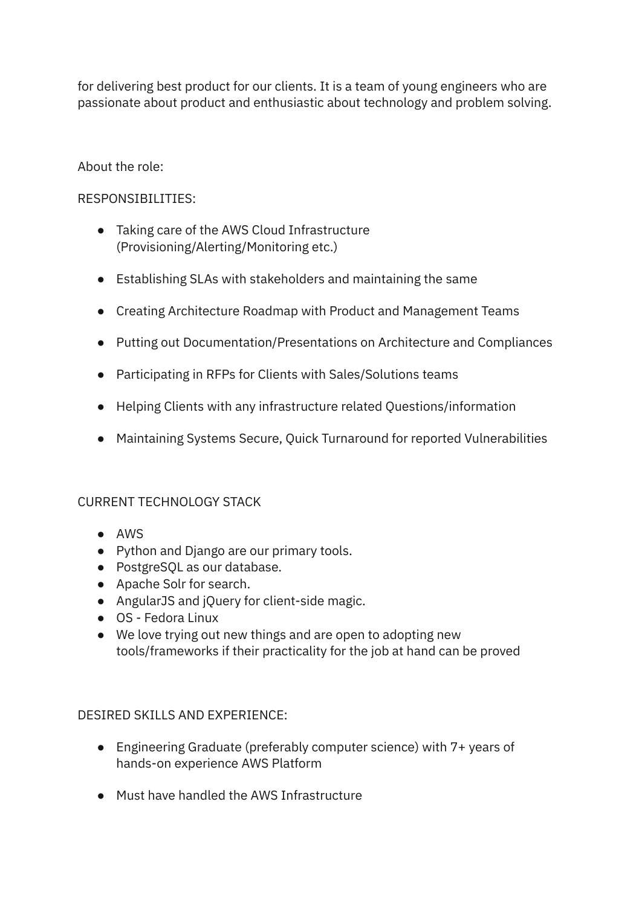for delivering best product for our clients. It is a team of young engineers who are passionate about product and enthusiastic about technology and problem solving.

#### About the role:

#### RESPONSIBILITIES:

- Taking care of the AWS Cloud Infrastructure (Provisioning/Alerting/Monitoring etc.)
- Establishing SLAs with stakeholders and maintaining the same
- Creating Architecture Roadmap with Product and Management Teams
- Putting out Documentation/Presentations on Architecture and Compliances
- Participating in RFPs for Clients with Sales/Solutions teams
- Helping Clients with any infrastructure related Questions/information
- Maintaining Systems Secure, Quick Turnaround for reported Vulnerabilities

#### CURRENT TECHNOLOGY STACK

- AWS
- Python and Django are our primary tools.
- PostgreSQL as our database.
- Apache Solr for search.
- AngularJS and jQuery for client-side magic.
- OS Fedora Linux
- We love trying out new things and are open to adopting new tools/frameworks if their practicality for the job at hand can be proved

#### DESIRED SKILLS AND EXPERIENCE:

- Engineering Graduate (preferably computer science) with 7+ years of hands-on experience AWS Platform
- Must have handled the AWS Infrastructure